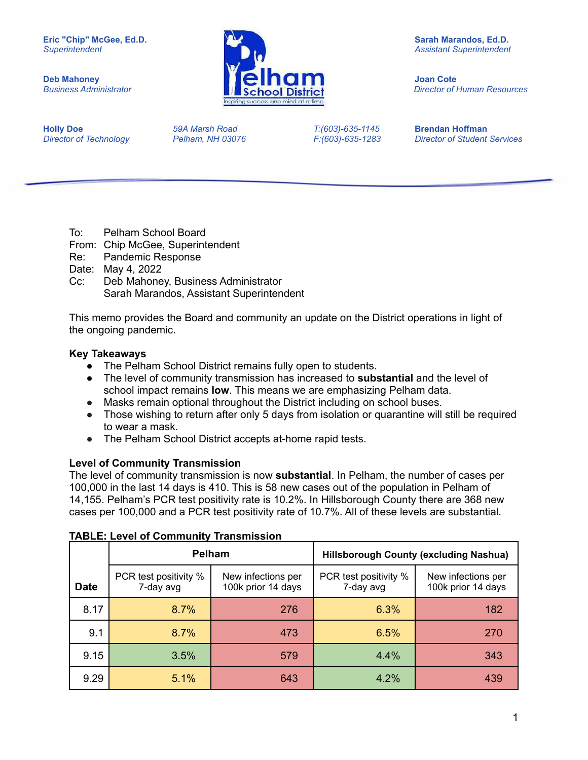

*Business Administrator Director of Human Resources*

**Holly Doe** *59A Marsh Road T:(603)-635-1145* **Brendan Hoffman**

*Director of Technology Pelham, NH 03076 F:(603)-635-1283 Director of Student Services*

- To: Pelham School Board
- From: Chip McGee, Superintendent
- Re: Pandemic Response
- Date: May 4, 2022
- Cc: Deb Mahoney, Business Administrator Sarah Marandos, Assistant Superintendent

This memo provides the Board and community an update on the District operations in light of the ongoing pandemic.

#### **Key Takeaways**

- The Pelham School District remains fully open to students.
- The level of community transmission has increased to **substantial** and the level of school impact remains **low**. This means we are emphasizing Pelham data.
- Masks remain optional throughout the District including on school buses.
- Those wishing to return after only 5 days from isolation or quarantine will still be required to wear a mask.
- The Pelham School District accepts at-home rapid tests.

#### **Level of Community Transmission**

The level of community transmission is now **substantial**. In Pelham, the number of cases per 100,000 in the last 14 days is 410. This is 58 new cases out of the population in Pelham of 14,155. Pelham's PCR test positivity rate is 10.2%. In Hillsborough County there are 368 new cases per 100,000 and a PCR test positivity rate of 10.7%. All of these levels are substantial.

|             |                                                                                | <b>Pelham</b> | <b>Hillsborough County (excluding Nashua)</b> |                                          |  |
|-------------|--------------------------------------------------------------------------------|---------------|-----------------------------------------------|------------------------------------------|--|
| <b>Date</b> | PCR test positivity %<br>New infections per<br>100k prior 14 days<br>7-day avg |               | PCR test positivity %<br>7-day avg            | New infections per<br>100k prior 14 days |  |
| 8.17        | 8.7%                                                                           | 276           | 6.3%                                          | 182                                      |  |
| 9.1         | 8.7%                                                                           | 473           | 6.5%                                          | 270                                      |  |
| 9.15        | 3.5%                                                                           | 579           | 4.4%                                          | 343                                      |  |
| 9.29        | 5.1%                                                                           | 643           | 4.2%                                          | 439                                      |  |

#### **TABLE: Level of Community Transmission**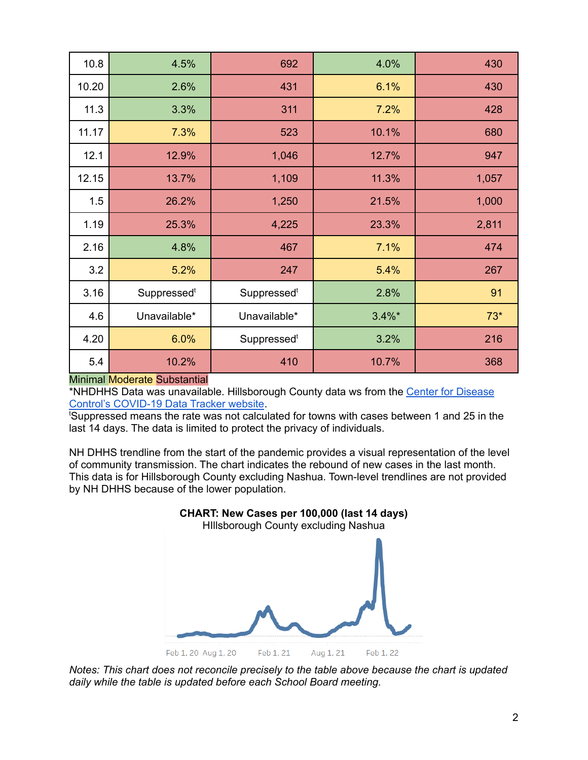| 10.8  | 4.5%         | 692                     | 4.0%      | 430   |
|-------|--------------|-------------------------|-----------|-------|
| 10.20 | 2.6%         | 431                     | 6.1%      | 430   |
| 11.3  | 3.3%         | 311                     | 7.2%      | 428   |
| 11.17 | 7.3%         | 523                     | 10.1%     | 680   |
| 12.1  | 12.9%        | 1,046                   | 12.7%     | 947   |
| 12.15 | 13.7%        | 1,109                   | 11.3%     | 1,057 |
| 1.5   | 26.2%        | 1,250                   | 21.5%     | 1,000 |
| 1.19  | 25.3%        | 4,225                   | 23.3%     | 2,811 |
| 2.16  | 4.8%         | 467                     | 7.1%      | 474   |
| 3.2   | 5.2%         | 247                     | 5.4%      | 267   |
| 3.16  | Suppressedt  | Suppressed <sup>t</sup> | 2.8%      | 91    |
| 4.6   | Unavailable* | Unavailable*            | $3.4\%$ * | $73*$ |
| 4.20  | 6.0%         | Suppressedt             | 3.2%      | 216   |
| 5.4   | 10.2%        | 410                     | 10.7%     | 368   |

#### Minimal Moderate Substantial

\*NHDHHS Data was unavailable. Hillsborough County data ws from the Center for [Disease](https://covid.cdc.gov/covid-data-tracker/#county-view?list_select_state=New+Hampshire&data-type=CommunityLevels&list_select_county=33011) Control's [COVID-19](https://covid.cdc.gov/covid-data-tracker/#county-view?list_select_state=New+Hampshire&data-type=CommunityLevels&list_select_county=33011) Data Tracker website.

<sup>t</sup>Suppressed means the rate was not calculated for towns with cases between 1 and 25 in the last 14 days. The data is limited to protect the privacy of individuals.

NH DHHS trendline from the start of the pandemic provides a visual representation of the level of community transmission. The chart indicates the rebound of new cases in the last month. This data is for Hillsborough County excluding Nashua. Town-level trendlines are not provided by NH DHHS because of the lower population.



*Notes: This chart does not reconcile precisely to the table above because the chart is updated daily while the table is updated before each School Board meeting.*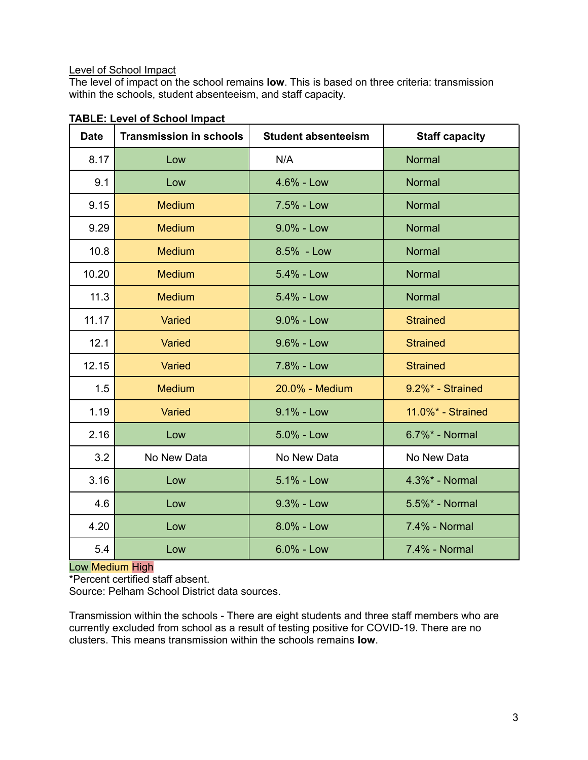# Level of School Impact

The level of impact on the school remains **low**. This is based on three criteria: transmission within the schools, student absenteeism, and staff capacity.

| <b>Date</b> | <b>Transmission in schools</b> | <b>Student absenteeism</b> | <b>Staff capacity</b> |
|-------------|--------------------------------|----------------------------|-----------------------|
| 8.17        | Low                            | N/A                        | <b>Normal</b>         |
| 9.1         | Low                            | $4.6% - Low$               | <b>Normal</b>         |
| 9.15        | <b>Medium</b>                  | 7.5% - Low                 | <b>Normal</b>         |
| 9.29        | <b>Medium</b>                  | $9.0\%$ - Low              | <b>Normal</b>         |
| 10.8        | <b>Medium</b>                  | 8.5% - Low                 | <b>Normal</b>         |
| 10.20       | <b>Medium</b>                  | $5.4% - Low$               | <b>Normal</b>         |
| 11.3        | <b>Medium</b>                  | $5.4\%$ - Low              | Normal                |
| 11.17       | Varied                         | $9.0\%$ - Low              | <b>Strained</b>       |
| 12.1        | Varied                         | $9.6\%$ - Low              | <b>Strained</b>       |
| 12.15       | Varied                         | 7.8% - Low                 | <b>Strained</b>       |
| 1.5         | <b>Medium</b>                  | 20.0% - Medium             | 9.2%* - Strained      |
| 1.19        | Varied                         | $9.1% - Low$               | 11.0%* - Strained     |
| 2.16        | Low                            | $5.0\%$ - Low              | 6.7%* - Normal        |
| 3.2         | No New Data                    | No New Data                | No New Data           |
| 3.16        | Low                            | 5.1% - Low                 | 4.3%* - Normal        |
| 4.6         | Low                            | $9.3\%$ - Low              | 5.5%* - Normal        |
| 4.20        | Low                            | 8.0% - Low                 | 7.4% - Normal         |
| 5.4         | Low                            | $6.0\%$ - Low              | 7.4% - Normal         |

# **TABLE: Level of School Impact**

# Low Medium High

\*Percent certified staff absent.

Source: Pelham School District data sources.

Transmission within the schools - There are eight students and three staff members who are currently excluded from school as a result of testing positive for COVID-19. There are no clusters. This means transmission within the schools remains **low**.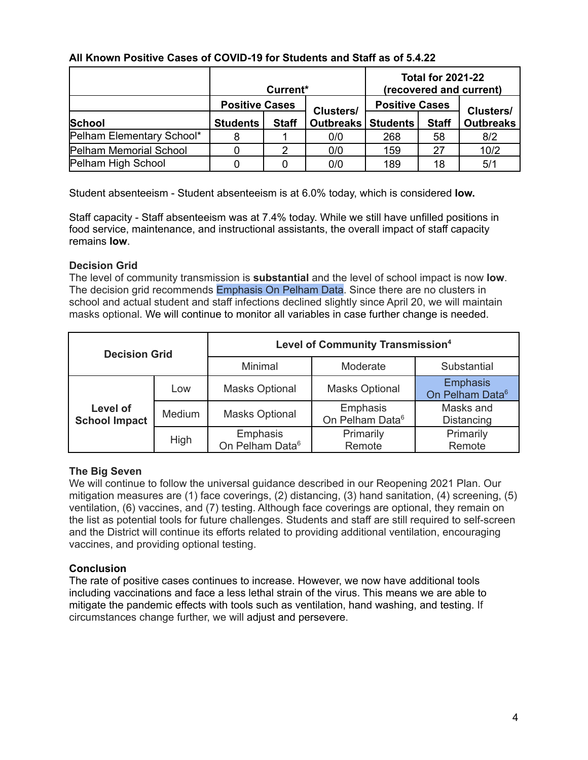|                           | Current*                                                    |              |                             | <b>Total for 2021-22</b><br>(recovered and current) |              |                  |
|---------------------------|-------------------------------------------------------------|--------------|-----------------------------|-----------------------------------------------------|--------------|------------------|
|                           | <b>Positive Cases</b><br><b>Positive Cases</b><br>Clusters/ |              |                             | <b>Clusters/</b>                                    |              |                  |
| School                    | <b>Students</b>                                             | <b>Staff</b> | <b>Outbreaks   Students</b> |                                                     | <b>Staff</b> | <b>Outbreaks</b> |
| Pelham Elementary School* |                                                             |              | 0/0                         | 268                                                 | 58           | 8/2              |
| Pelham Memorial School    |                                                             |              | 0/0                         | 159                                                 | 27           | 10/2             |
| Pelham High School        |                                                             |              | 0/0                         | 189                                                 | 18           | 5/1              |

## **All Known Positive Cases of COVID-19 for Students and Staff as of 5.4.22**

Student absenteeism - Student absenteeism is at 6.0% today, which is considered **low.**

Staff capacity - Staff absenteeism was at 7.4% today. While we still have unfilled positions in food service, maintenance, and instructional assistants, the overall impact of staff capacity remains **low**.

## **Decision Grid**

The level of community transmission is **substantial** and the level of school impact is now **low**. The decision grid recommends Emphasis On Pelham Data. Since there are no clusters in school and actual student and staff infections declined slightly since April 20, we will maintain masks optional. We will continue to monitor all variables in case further change is needed.

| <b>Decision Grid</b>             |        | <b>Level of Community Transmission4</b> |                                         |                                                |  |
|----------------------------------|--------|-----------------------------------------|-----------------------------------------|------------------------------------------------|--|
|                                  |        | Minimal                                 | Moderate                                | Substantial                                    |  |
|                                  | Low    | <b>Masks Optional</b>                   | <b>Masks Optional</b>                   | <b>Emphasis</b><br>On Pelham Data <sup>6</sup> |  |
| Level of<br><b>School Impact</b> | Medium | <b>Masks Optional</b>                   | Emphasis<br>On Pelham Data <sup>6</sup> | Masks and<br>Distancing                        |  |
|                                  | High   | Emphasis<br>On Pelham Data <sup>6</sup> | Primarily<br>Remote                     | Primarily<br>Remote                            |  |

## **The Big Seven**

We will continue to follow the universal guidance described in our Reopening 2021 Plan. Our mitigation measures are (1) face coverings, (2) distancing, (3) hand sanitation, (4) screening, (5) ventilation, (6) vaccines, and (7) testing. Although face coverings are optional, they remain on the list as potential tools for future challenges. Students and staff are still required to self-screen and the District will continue its efforts related to providing additional ventilation, encouraging vaccines, and providing optional testing.

# **Conclusion**

The rate of positive cases continues to increase. However, we now have additional tools including vaccinations and face a less lethal strain of the virus. This means we are able to mitigate the pandemic effects with tools such as ventilation, hand washing, and testing. If circumstances change further, we will adjust and persevere.